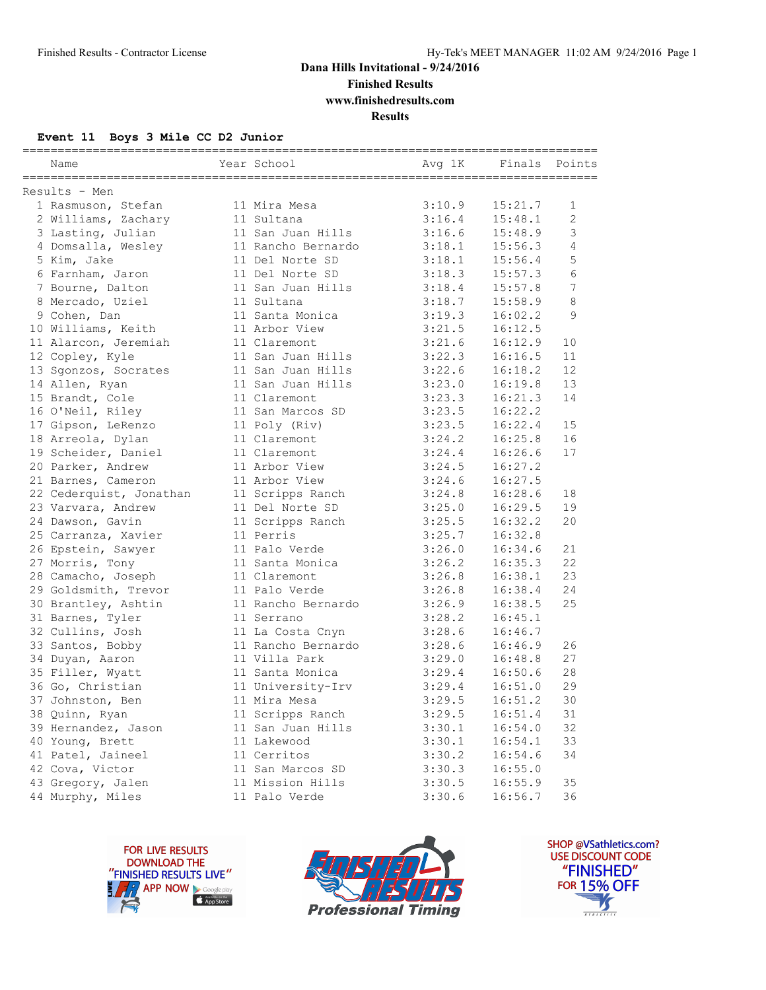**Finished Results**

**www.finishedresults.com**

**Results**

#### **Event 11 Boys 3 Mile CC D2 Junior**

| Name                    | Year School        | Avg 1K | Finals  | Points         |
|-------------------------|--------------------|--------|---------|----------------|
| Results - Men           |                    |        |         |                |
| 1 Rasmuson, Stefan      | 11 Mira Mesa       | 3:10.9 | 15:21.7 | $\mathbf{1}$   |
| 2 Williams, Zachary     | 11 Sultana         | 3:16.4 | 15:48.1 | $\overline{c}$ |
| 3 Lasting, Julian       | 11 San Juan Hills  | 3:16.6 | 15:48.9 | 3              |
| 4 Domsalla, Wesley      | 11 Rancho Bernardo | 3:18.1 | 15:56.3 | 4              |
| 5 Kim, Jake             | 11 Del Norte SD    | 3:18.1 | 15:56.4 | 5              |
| 6 Farnham, Jaron        | 11 Del Norte SD    | 3:18.3 | 15:57.3 | 6              |
| 7 Bourne, Dalton        | 11 San Juan Hills  | 3:18.4 | 15:57.8 | 7              |
| 8 Mercado, Uziel        | 11 Sultana         | 3:18.7 | 15:58.9 | 8              |
| 9 Cohen, Dan            | 11 Santa Monica    | 3:19.3 | 16:02.2 | 9              |
| 10 Williams, Keith      | 11 Arbor View      | 3:21.5 | 16:12.5 |                |
| 11 Alarcon, Jeremiah    | 11 Claremont       | 3:21.6 | 16:12.9 | 10             |
| 12 Copley, Kyle         | 11 San Juan Hills  | 3:22.3 | 16:16.5 | 11             |
| 13 Sgonzos, Socrates    | 11 San Juan Hills  | 3:22.6 | 16:18.2 | 12             |
| 14 Allen, Ryan          | 11 San Juan Hills  | 3:23.0 | 16:19.8 | 13             |
| 15 Brandt, Cole         | 11 Claremont       | 3:23.3 | 16:21.3 | 14             |
| 16 O'Neil, Riley        | 11 San Marcos SD   | 3:23.5 | 16:22.2 |                |
| 17 Gipson, LeRenzo      | 11 Poly (Riv)      | 3:23.5 | 16:22.4 | 15             |
| 18 Arreola, Dylan       | 11 Claremont       | 3:24.2 | 16:25.8 | 16             |
| 19 Scheider, Daniel     | 11 Claremont       | 3:24.4 | 16:26.6 | 17             |
| 20 Parker, Andrew       | 11 Arbor View      | 3:24.5 | 16:27.2 |                |
| 21 Barnes, Cameron      | 11 Arbor View      | 3:24.6 | 16:27.5 |                |
| 22 Cederquist, Jonathan | 11 Scripps Ranch   | 3:24.8 | 16:28.6 | 18             |
| 23 Varvara, Andrew      | 11 Del Norte SD    | 3:25.0 | 16:29.5 | 19             |
| 24 Dawson, Gavin        | 11 Scripps Ranch   | 3:25.5 | 16:32.2 | 20             |
| 25 Carranza, Xavier     | 11 Perris          | 3:25.7 | 16:32.8 |                |
| 26 Epstein, Sawyer      | 11 Palo Verde      | 3:26.0 | 16:34.6 | 21             |
| 27 Morris, Tony         | 11 Santa Monica    | 3:26.2 | 16:35.3 | 22             |
| 28 Camacho, Joseph      | 11 Claremont       | 3:26.8 | 16:38.1 | 23             |
| 29 Goldsmith, Trevor    | 11 Palo Verde      | 3:26.8 | 16:38.4 | 24             |
| 30 Brantley, Ashtin     | 11 Rancho Bernardo | 3:26.9 | 16:38.5 | 25             |
| 31 Barnes, Tyler        | 11 Serrano         | 3:28.2 | 16:45.1 |                |
| 32 Cullins, Josh        | 11 La Costa Cnyn   | 3:28.6 | 16:46.7 |                |
| 33 Santos, Bobby        | 11 Rancho Bernardo | 3:28.6 | 16:46.9 | 26             |
| 34 Duyan, Aaron         | 11 Villa Park      | 3:29.0 | 16:48.8 | 27             |
| 35 Filler, Wyatt        | 11 Santa Monica    | 3:29.4 | 16:50.6 | 28             |
| 36 Go, Christian        | 11 University-Irv  | 3:29.4 | 16:51.0 | 29             |
| 37 Johnston, Ben        | 11 Mira Mesa       | 3:29.5 | 16:51.2 | 30             |
| 38 Quinn, Ryan          | 11 Scripps Ranch   | 3:29.5 | 16:51.4 | 31             |
| 39 Hernandez, Jason     | 11 San Juan Hills  | 3:30.1 | 16:54.0 | 32             |
| 40 Young, Brett         | 11 Lakewood        | 3:30.1 | 16:54.1 | 33             |
| 41 Patel, Jaineel       | 11 Cerritos        | 3:30.2 | 16:54.6 | 34             |
| 42 Cova, Victor         | 11 San Marcos SD   | 3:30.3 | 16:55.0 |                |
| 43 Gregory, Jalen       | 11 Mission Hills   | 3:30.5 | 16:55.9 | 35             |
| 44 Murphy, Miles        | 11 Palo Verde      | 3:30.6 | 16:56.7 | 36             |





SHOP @VSathletics.com? USE DISCOUNT CODE "FINISHED" **FOR 15% OFF**  $\blacktriangle$  $\frac{1}{1}$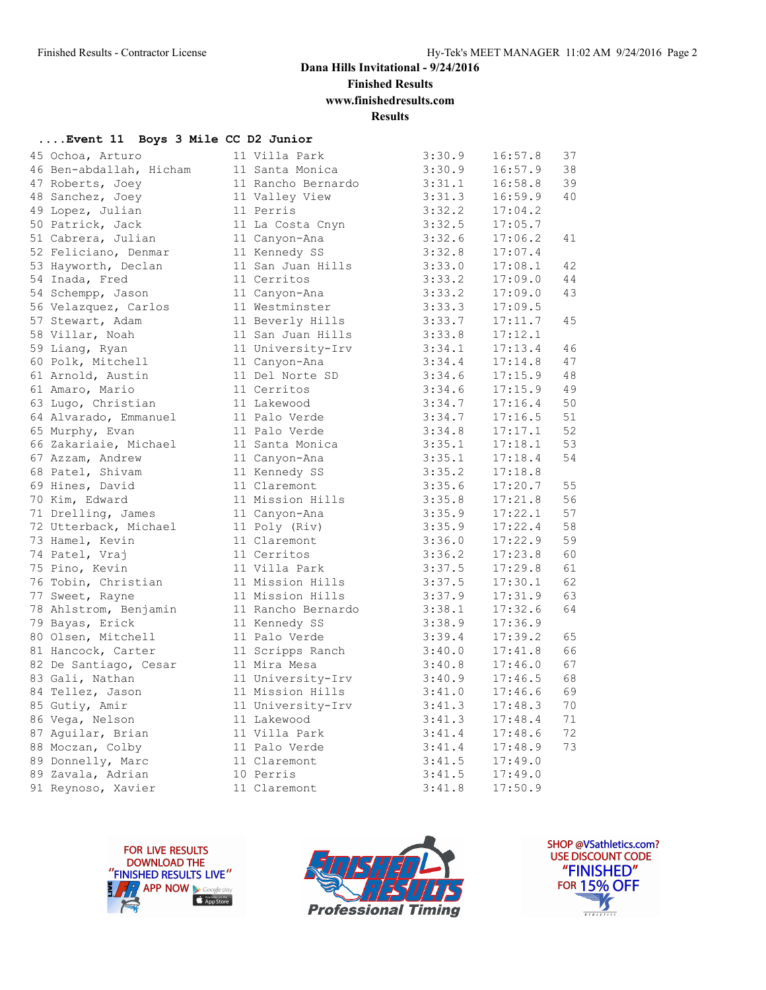**Finished Results**

**www.finishedresults.com**

### **Results**

#### **....Event 11 Boys 3 Mile CC D2 Junior**

| 45 Ochoa, Arturo        | 11 Villa Park      | 3:30.9 | 16:57.8 | 37 |
|-------------------------|--------------------|--------|---------|----|
| 46 Ben-abdallah, Hicham | 11 Santa Monica    | 3:30.9 | 16:57.9 | 38 |
| 47 Roberts, Joey        | 11 Rancho Bernardo | 3:31.1 | 16:58.8 | 39 |
| 48 Sanchez, Joey        | 11 Valley View     | 3:31.3 | 16:59.9 | 40 |
| 49 Lopez, Julian        | 11 Perris          | 3:32.2 | 17:04.2 |    |
| 50 Patrick, Jack        | 11 La Costa Cnyn   | 3:32.5 | 17:05.7 |    |
| 51 Cabrera, Julian      | 11 Canyon-Ana      | 3:32.6 | 17:06.2 | 41 |
| 52 Feliciano, Denmar    | 11 Kennedy SS      | 3:32.8 | 17:07.4 |    |
| 53 Hayworth, Declan     | 11 San Juan Hills  | 3:33.0 | 17:08.1 | 42 |
| 54 Inada, Fred          | 11 Cerritos        | 3:33.2 | 17:09.0 | 44 |
| 54 Schempp, Jason       | 11 Canyon-Ana      | 3:33.2 | 17:09.0 | 43 |
| 56 Velazquez, Carlos    | 11 Westminster     | 3:33.3 | 17:09.5 |    |
| 57 Stewart, Adam        | 11 Beverly Hills   | 3:33.7 | 17:11.7 | 45 |
| 58 Villar, Noah         | 11 San Juan Hills  | 3:33.8 | 17:12.1 |    |
| 59 Liang, Ryan          | 11 University-Irv  | 3:34.1 | 17:13.4 | 46 |
| 60 Polk, Mitchell       | 11 Canyon-Ana      | 3:34.4 | 17:14.8 | 47 |
| 61 Arnold, Austin       | 11 Del Norte SD    | 3:34.6 | 17:15.9 | 48 |
| 61 Amaro, Mario         | 11 Cerritos        | 3:34.6 | 17:15.9 | 49 |
| 63 Lugo, Christian      | 11 Lakewood        | 3:34.7 | 17:16.4 | 50 |
| 64 Alvarado, Emmanuel   | 11 Palo Verde      | 3:34.7 | 17:16.5 | 51 |
| 65 Murphy, Evan         | 11 Palo Verde      | 3:34.8 | 17:17.1 | 52 |
| 66 Zakariaie, Michael   | 11 Santa Monica    | 3:35.1 | 17:18.1 | 53 |
| 67 Azzam, Andrew        | 11 Canyon-Ana      | 3:35.1 | 17:18.4 | 54 |
| 68 Patel, Shivam        | 11 Kennedy SS      | 3:35.2 | 17:18.8 |    |
| 69 Hines, David         | 11 Claremont       | 3:35.6 | 17:20.7 | 55 |
| 70 Kim, Edward          | 11 Mission Hills   | 3:35.8 | 17:21.8 | 56 |
| 71 Drelling, James      | 11 Canyon-Ana      | 3:35.9 | 17:22.1 | 57 |
| 72 Utterback, Michael   | 11 Poly (Riv)      | 3:35.9 | 17:22.4 | 58 |
| 73 Hamel, Kevin         | 11 Claremont       | 3:36.0 | 17:22.9 | 59 |
| 74 Patel, Vraj          | 11 Cerritos        | 3:36.2 | 17:23.8 | 60 |
| 75 Pino, Kevin          | 11 Villa Park      | 3:37.5 | 17:29.8 | 61 |
| 76 Tobin, Christian     | 11 Mission Hills   | 3:37.5 | 17:30.1 | 62 |
| 77 Sweet, Rayne         | 11 Mission Hills   | 3:37.9 | 17:31.9 | 63 |
| 78 Ahlstrom, Benjamin   | 11 Rancho Bernardo | 3:38.1 | 17:32.6 | 64 |
| 79 Bayas, Erick         | 11 Kennedy SS      | 3:38.9 | 17:36.9 |    |
| 80 Olsen, Mitchell      | 11 Palo Verde      | 3:39.4 | 17:39.2 | 65 |
| 81 Hancock, Carter      | 11 Scripps Ranch   | 3:40.0 | 17:41.8 | 66 |
| 82 De Santiago, Cesar   | 11 Mira Mesa       | 3:40.8 | 17:46.0 | 67 |
| 83 Gali, Nathan         | 11 University-Irv  | 3:40.9 | 17:46.5 | 68 |
| 84 Tellez, Jason        | 11 Mission Hills   | 3:41.0 | 17:46.6 | 69 |
| 85 Gutiy, Amir          | 11 University-Irv  | 3:41.3 | 17:48.3 | 70 |
| 86 Vega, Nelson         | 11 Lakewood        | 3:41.3 | 17:48.4 | 71 |
| 87 Aguilar, Brian       | 11 Villa Park      | 3:41.4 | 17:48.6 | 72 |
| 88 Moczan, Colby        | 11 Palo Verde      | 3:41.4 | 17:48.9 | 73 |
| 89 Donnelly, Marc       | 11 Claremont       | 3:41.5 | 17:49.0 |    |
| 89 Zavala, Adrian       | 10 Perris          | 3:41.5 | 17:49.0 |    |
| 91 Reynoso, Xavier      | 11 Claremont       | 3:41.8 | 17:50.9 |    |
|                         |                    |        |         |    |





SHOP @VSathletics.com? USE DISCOUNT CODE "FINISHED" **FOR 15% OFF**  $\frac{1}{\sqrt{2}}$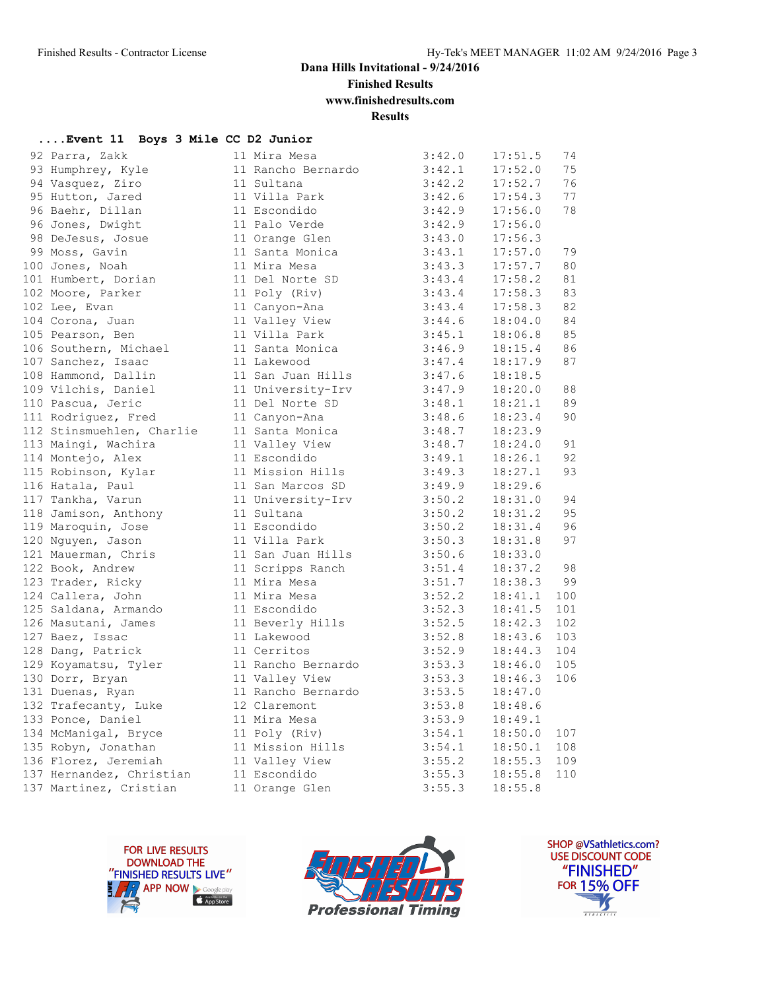**Finished Results**

**www.finishedresults.com**

**Results**

#### **....Event 11 Boys 3 Mile CC D2 Junior**

| 92 Parra, Zakk            | 11 Mira Mesa       | 3:42.0 | 17:51.5 | 74  |
|---------------------------|--------------------|--------|---------|-----|
| 93 Humphrey, Kyle         | 11 Rancho Bernardo | 3:42.1 | 17:52.0 | 75  |
| 94 Vasquez, Ziro          | 11 Sultana         | 3:42.2 | 17:52.7 | 76  |
| 95 Hutton, Jared          | 11 Villa Park      | 3:42.6 | 17:54.3 | 77  |
| 96 Baehr, Dillan          | 11 Escondido       | 3:42.9 | 17:56.0 | 78  |
| 96 Jones, Dwight          | 11 Palo Verde      | 3:42.9 | 17:56.0 |     |
| 98 DeJesus, Josue         | 11 Orange Glen     | 3:43.0 | 17:56.3 |     |
| 99 Moss, Gavin            | 11 Santa Monica    | 3:43.1 | 17:57.0 | 79  |
| 100 Jones, Noah           | 11 Mira Mesa       | 3:43.3 | 17:57.7 | 80  |
| 101 Humbert, Dorian       | 11 Del Norte SD    | 3:43.4 | 17:58.2 | 81  |
| 102 Moore, Parker         | 11 Poly (Riv)      | 3:43.4 | 17:58.3 | 83  |
| 102 Lee, Evan             | 11 Canyon-Ana      | 3:43.4 | 17:58.3 | 82  |
| 104 Corona, Juan          | 11 Valley View     | 3:44.6 | 18:04.0 | 84  |
| 105 Pearson, Ben          | 11 Villa Park      | 3:45.1 | 18:06.8 | 85  |
| 106 Southern, Michael     | 11 Santa Monica    | 3:46.9 | 18:15.4 | 86  |
| 107 Sanchez, Isaac        | 11 Lakewood        | 3:47.4 | 18:17.9 | 87  |
| 108 Hammond, Dallin       | 11 San Juan Hills  | 3:47.6 | 18:18.5 |     |
| 109 Vilchis, Daniel       | 11 University-Irv  | 3:47.9 | 18:20.0 | 88  |
| 110 Pascua, Jeric         | 11 Del Norte SD    | 3:48.1 | 18:21.1 | 89  |
| 111 Rodriguez, Fred       | 11 Canyon-Ana      | 3:48.6 | 18:23.4 | 90  |
| 112 Stinsmuehlen, Charlie | 11 Santa Monica    | 3:48.7 | 18:23.9 |     |
| 113 Maingi, Wachira       | 11 Valley View     | 3:48.7 | 18:24.0 | 91  |
| 114 Montejo, Alex         | 11 Escondido       | 3:49.1 | 18:26.1 | 92  |
| 115 Robinson, Kylar       | 11 Mission Hills   | 3:49.3 | 18:27.1 | 93  |
| 116 Hatala, Paul          | 11 San Marcos SD   | 3:49.9 | 18:29.6 |     |
| 117 Tankha, Varun         | 11 University-Irv  | 3:50.2 | 18:31.0 | 94  |
| 118 Jamison, Anthony      | 11 Sultana         | 3:50.2 | 18:31.2 | 95  |
| 119 Maroquin, Jose        | 11 Escondido       | 3:50.2 | 18:31.4 | 96  |
| 120 Nguyen, Jason         | 11 Villa Park      | 3:50.3 | 18:31.8 | 97  |
| 121 Mauerman, Chris       | 11 San Juan Hills  | 3:50.6 | 18:33.0 |     |
| 122 Book, Andrew          | 11 Scripps Ranch   | 3:51.4 | 18:37.2 | 98  |
| 123 Trader, Ricky         | 11 Mira Mesa       | 3:51.7 | 18:38.3 | 99  |
| 124 Callera, John         | 11 Mira Mesa       | 3:52.2 | 18:41.1 | 100 |
| 125 Saldana, Armando      | 11 Escondido       | 3:52.3 | 18:41.5 | 101 |
| 126 Masutani, James       | 11 Beverly Hills   | 3:52.5 | 18:42.3 | 102 |
| 127 Baez, Issac           | 11 Lakewood        | 3:52.8 | 18:43.6 | 103 |
| 128 Dang, Patrick         | 11 Cerritos        | 3:52.9 | 18:44.3 | 104 |
| 129 Koyamatsu, Tyler      | 11 Rancho Bernardo | 3:53.3 | 18:46.0 | 105 |
| 130 Dorr, Bryan           | 11 Valley View     | 3:53.3 | 18:46.3 | 106 |
| 131 Duenas, Ryan          | 11 Rancho Bernardo | 3:53.5 | 18:47.0 |     |
| 132 Trafecanty, Luke      | 12 Claremont       | 3:53.8 | 18:48.6 |     |
| 133 Ponce, Daniel         | 11 Mira Mesa       | 3:53.9 | 18:49.1 |     |
| 134 McManigal, Bryce      | 11 Poly (Riv)      | 3:54.1 | 18:50.0 | 107 |
| 135 Robyn, Jonathan       | 11 Mission Hills   | 3:54.1 | 18:50.1 | 108 |
| 136 Florez, Jeremiah      | 11 Valley View     | 3:55.2 | 18:55.3 | 109 |
| 137 Hernandez, Christian  | 11 Escondido       | 3:55.3 | 18:55.8 | 110 |
| 137 Martinez, Cristian    | 11 Orange Glen     | 3:55.3 | 18:55.8 |     |
|                           |                    |        |         |     |





SHOP @VSathletics.com? USE DISCOUNT CODE "FINISHED" **FOR 15% OFF** IS  $\frac{1}{1}$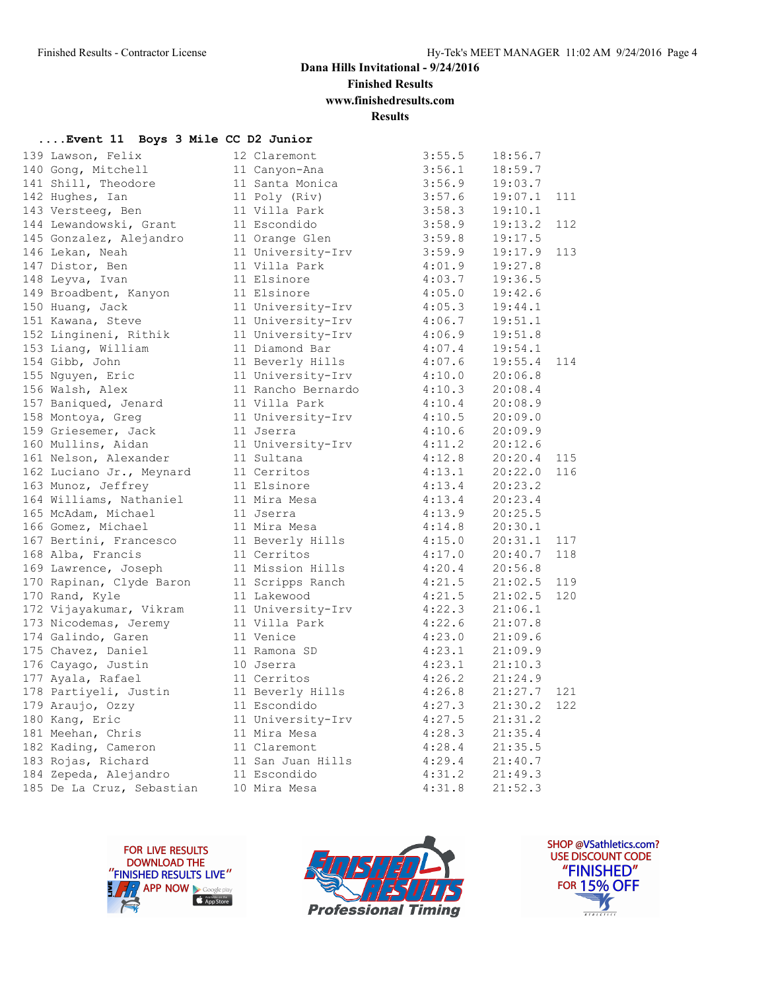**Finished Results**

**www.finishedresults.com**

**Results**

|  |  |  |  |  |  |  |  | Event 11 Boys 3 Mile CC D2 Junior |
|--|--|--|--|--|--|--|--|-----------------------------------|
|--|--|--|--|--|--|--|--|-----------------------------------|

| 139 Lawson, Felix         | 12 Claremont       | 3:55.5 | 18:56.7 |     |
|---------------------------|--------------------|--------|---------|-----|
| 140 Gong, Mitchell        | 11 Canyon-Ana      | 3:56.1 | 18:59.7 |     |
| 141 Shill, Theodore       | 11 Santa Monica    | 3:56.9 | 19:03.7 |     |
| 142 Hughes, Ian           | 11 Poly (Riv)      | 3:57.6 | 19:07.1 | 111 |
| 143 Versteeg, Ben         | 11 Villa Park      | 3:58.3 | 19:10.1 |     |
| 144 Lewandowski, Grant    | 11 Escondido       | 3:58.9 | 19:13.2 | 112 |
| 145 Gonzalez, Alejandro   | 11 Orange Glen     | 3:59.8 | 19:17.5 |     |
| 146 Lekan, Neah           | 11 University-Irv  | 3:59.9 | 19:17.9 | 113 |
| 147 Distor, Ben           | 11 Villa Park      | 4:01.9 | 19:27.8 |     |
| 148 Leyva, Ivan           | 11 Elsinore        | 4:03.7 | 19:36.5 |     |
| 149 Broadbent, Kanyon     | 11 Elsinore        | 4:05.0 | 19:42.6 |     |
| 150 Huang, Jack           | 11 University-Irv  | 4:05.3 | 19:44.1 |     |
| 151 Kawana, Steve         | 11 University-Irv  | 4:06.7 | 19:51.1 |     |
| 152 Lingineni, Rithik     | 11 University-Irv  | 4:06.9 | 19:51.8 |     |
| 153 Liang, William        | 11 Diamond Bar     | 4:07.4 | 19:54.1 |     |
| 154 Gibb, John            | 11 Beverly Hills   | 4:07.6 | 19:55.4 | 114 |
| 155 Nguyen, Eric          | 11 University-Irv  | 4:10.0 | 20:06.8 |     |
| 156 Walsh, Alex           | 11 Rancho Bernardo | 4:10.3 | 20:08.4 |     |
| 157 Baniqued, Jenard      | 11 Villa Park      | 4:10.4 | 20:08.9 |     |
| 158 Montoya, Greg         | 11 University-Irv  | 4:10.5 | 20:09.0 |     |
| 159 Griesemer, Jack       | 11 Jserra          | 4:10.6 | 20:09.9 |     |
| 160 Mullins, Aidan        | 11 University-Irv  | 4:11.2 | 20:12.6 |     |
| 161 Nelson, Alexander     | 11 Sultana         | 4:12.8 | 20:20.4 | 115 |
| 162 Luciano Jr., Meynard  | 11 Cerritos        | 4:13.1 | 20:22.0 | 116 |
| 163 Munoz, Jeffrey        | 11 Elsinore        | 4:13.4 | 20:23.2 |     |
| 164 Williams, Nathaniel   | 11 Mira Mesa       | 4:13.4 | 20:23.4 |     |
| 165 McAdam, Michael       | 11 Jserra          | 4:13.9 | 20:25.5 |     |
| 166 Gomez, Michael        | 11 Mira Mesa       | 4:14.8 | 20:30.1 |     |
| 167 Bertini, Francesco    | 11 Beverly Hills   | 4:15.0 | 20:31.1 | 117 |
| 168 Alba, Francis         | 11 Cerritos        | 4:17.0 | 20:40.7 | 118 |
| 169 Lawrence, Joseph      | 11 Mission Hills   | 4:20.4 | 20:56.8 |     |
| 170 Rapinan, Clyde Baron  | 11 Scripps Ranch   | 4:21.5 | 21:02.5 | 119 |
| 170 Rand, Kyle            | 11 Lakewood        | 4:21.5 | 21:02.5 | 120 |
| 172 Vijayakumar, Vikram   | 11 University-Irv  | 4:22.3 | 21:06.1 |     |
| 173 Nicodemas, Jeremy     | 11 Villa Park      | 4:22.6 | 21:07.8 |     |
| 174 Galindo, Garen        | 11 Venice          | 4:23.0 | 21:09.6 |     |
| 175 Chavez, Daniel        | 11 Ramona SD       | 4:23.1 | 21:09.9 |     |
| 176 Cayago, Justin        | 10 Jserra          | 4:23.1 | 21:10.3 |     |
| 177 Ayala, Rafael         | 11 Cerritos        | 4:26.2 | 21:24.9 |     |
| 178 Partiyeli, Justin     | 11 Beverly Hills   | 4:26.8 | 21:27.7 | 121 |
| 179 Araujo, Ozzy          | 11 Escondido       | 4:27.3 | 21:30.2 | 122 |
| 180 Kang, Eric            | 11 University-Irv  | 4:27.5 | 21:31.2 |     |
| 181 Meehan, Chris         | 11 Mira Mesa       | 4:28.3 | 21:35.4 |     |
| 182 Kading, Cameron       | 11 Claremont       | 4:28.4 | 21:35.5 |     |
| 183 Rojas, Richard        | 11 San Juan Hills  | 4:29.4 | 21:40.7 |     |
| 184 Zepeda, Alejandro     | 11 Escondido       | 4:31.2 | 21:49.3 |     |
| 185 De La Cruz, Sebastian | 10 Mira Mesa       | 4:31.8 | 21:52.3 |     |





SHOP @VSathletics.com? USE DISCOUNT CODE "FINISHED" **FOR 15% OFF**  $\frac{1}{\sqrt{2}}$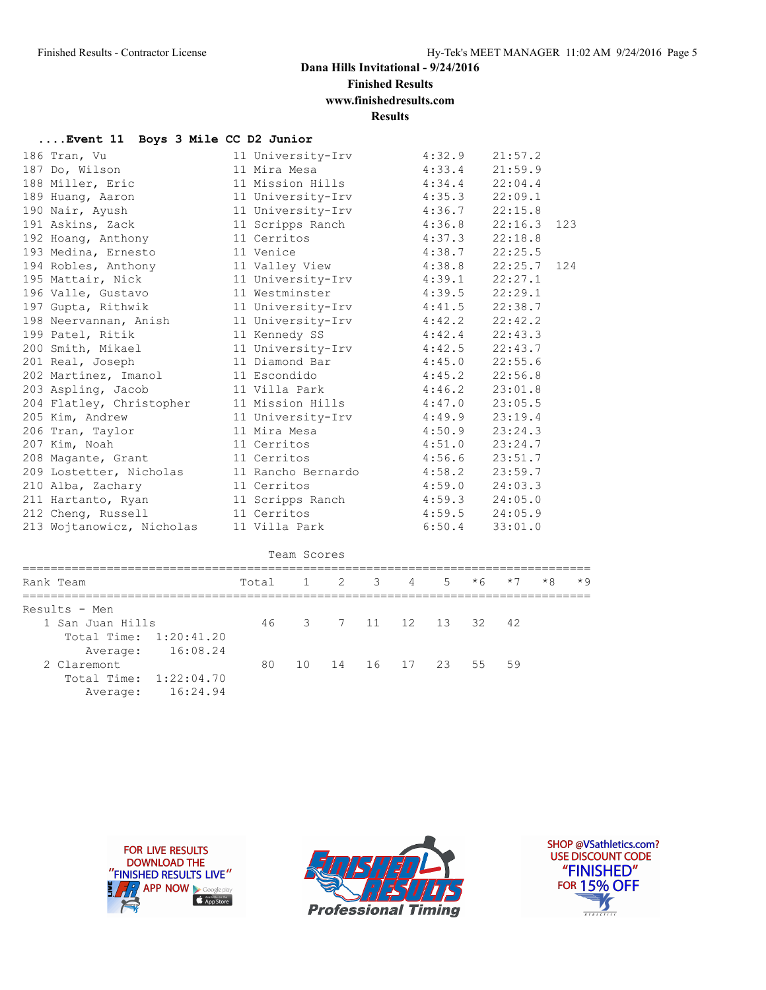**Finished Results**

**www.finishedresults.com**

**Results**

#### **....Event 11 Boys 3 Mile CC D2 Junior**

| Rank Team                 | $\mathbf{1}$<br>$\mathcal{L}$<br>Total | 3<br>4            | 5                 | $*6$ | $*7$               | $*8$ |      |  |  |
|---------------------------|----------------------------------------|-------------------|-------------------|------|--------------------|------|------|--|--|
|                           |                                        |                   |                   |      |                    |      | $*9$ |  |  |
|                           | Team Scores                            |                   |                   |      |                    |      |      |  |  |
| 213 Wojtanowicz, Nicholas | 11 Villa Park                          |                   | 6:50.4            |      | 33:01.0            |      |      |  |  |
| 212 Cheng, Russell        | 11 Cerritos                            |                   |                   |      |                    |      |      |  |  |
| 211 Hartanto, Ryan        | 11 Scripps Ranch                       |                   | 4:59.5            |      | 24:05.0<br>24:05.9 |      |      |  |  |
| 210 Alba, Zachary         | 11 Cerritos                            |                   | 4:59.0<br>4:59.3  |      | 24:03.3            |      |      |  |  |
| 209 Lostetter, Nicholas   | 11 Rancho Bernardo                     |                   | 4:58.2            |      | 23:59.7            |      |      |  |  |
| 208 Magante, Grant        | 11 Cerritos                            |                   | 4:56.6            |      | 23:51.7            |      |      |  |  |
| 207 Kim, Noah             | 11 Cerritos                            |                   | 4:51.0            |      | 23:24.7            |      |      |  |  |
| 206 Tran, Taylor          | 11 Mira Mesa                           |                   | 4:50.9            |      | 23:24.3            |      |      |  |  |
| 205 Kim, Andrew           | 11 University-Irv                      |                   | 4:49.9            |      | 23:19.4            |      |      |  |  |
| 204 Flatley, Christopher  | 11 Mission Hills                       |                   | 4:47.0            |      | 23:05.5            |      |      |  |  |
| 203 Aspling, Jacob        | 11 Villa Park                          |                   | 4:46.2            |      | 23:01.8            |      |      |  |  |
| 202 Martinez, Imanol      | 11 Escondido                           |                   | 4:45.2            |      | 22:56.8            |      |      |  |  |
| 201 Real, Joseph          | 11 Diamond Bar                         |                   | 4:45.0            |      | 22:55.6            |      |      |  |  |
| 200 Smith, Mikael         | 11 University-Irv                      |                   | 4:42.5            |      | 22:43.7            |      |      |  |  |
| 199 Patel, Ritik          | 11 Kennedy SS                          |                   | 4:42.4            |      | 22:43.3            |      |      |  |  |
| 198 Neervannan, Anish     | 11 University-Irv                      |                   | 4:42.2            |      | 22:42.2            |      |      |  |  |
| 197 Gupta, Rithwik        | 11 University-Irv                      |                   | 4:41.5            |      | 22:38.7            |      |      |  |  |
| 196 Valle, Gustavo        | 11 Westminster                         |                   | 4:39.5            |      | 22:29.1            |      |      |  |  |
| 195 Mattair, Nick         | 11 University-Irv                      |                   | 4:39.1            |      | 22:27.1            |      |      |  |  |
| 194 Robles, Anthony       | 11 Valley View                         |                   | 4:38.8            |      | 22:25.7            |      | 124  |  |  |
| 193 Medina, Ernesto       | 11 Venice                              |                   | 4:38.7            |      | 22:25.5            |      |      |  |  |
| 192 Hoang, Anthony        | 11 Cerritos                            |                   | 4:37.3            |      | 22:18.8            |      |      |  |  |
| 191 Askins, Zack          | 11 Scripps Ranch                       |                   | 4:36.8            |      | 22:16.3            |      | 123  |  |  |
| 190 Nair, Ayush           | 11 University-Irv                      |                   | 4:36.7            |      | 22:15.8            |      |      |  |  |
| 189 Huang, Aaron          | 11 University-Irv                      |                   | 4:35.3<br>22:09.1 |      |                    |      |      |  |  |
| 188 Miller, Eric          | 11 Mission Hills                       |                   | 4:34.4            |      | 22:04.4            |      |      |  |  |
| 187 Do, Wilson            | 11 Mira Mesa                           |                   | 4:33.4            |      | 21:59.9            |      |      |  |  |
| 186 Tran, Vu              | 11 University-Irv                      | 21:57.2<br>4:32.9 |                   |      |                    |      |      |  |  |

| Results - Men          |                   |  |  |  |                         |  |
|------------------------|-------------------|--|--|--|-------------------------|--|
| 1 San Juan Hills       |                   |  |  |  | 46 3 7 11 12 13 32 42   |  |
| Total Time: 1:20:41.20 |                   |  |  |  |                         |  |
|                        | Average: 16:08.24 |  |  |  |                         |  |
| 2 Claremont            |                   |  |  |  | 80 10 14 16 17 23 55 59 |  |
| Total Time: 1:22:04.70 |                   |  |  |  |                         |  |
|                        | Average: 16:24.94 |  |  |  |                         |  |





SHOP @VSathletics.com? USE DISCOUNT CODE "FINISHED" **FOR 15% OFF** Ŋ  $\frac{1}{1}$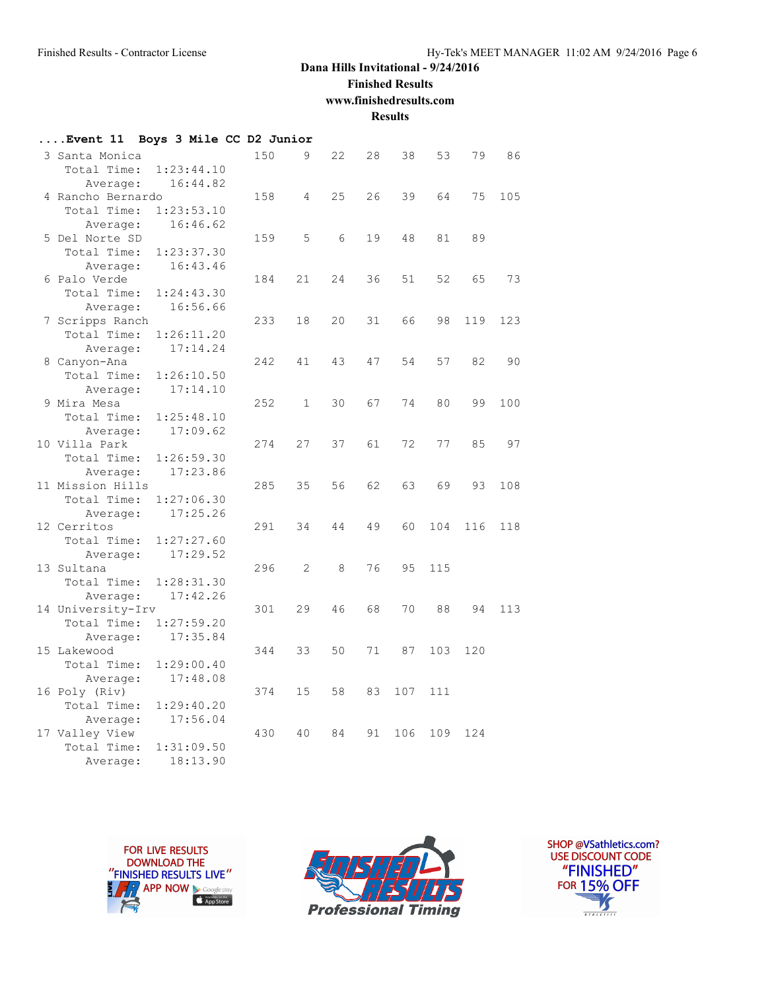### **Finished Results**

**www.finishedresults.com**

**Results**

| Event 11          | Boys 3 Mile CC D2 Junior |     |              |    |    |     |     |     |     |
|-------------------|--------------------------|-----|--------------|----|----|-----|-----|-----|-----|
| 3 Santa Monica    |                          | 150 | 9            | 22 | 28 | 38  | 53  | 79  | 86  |
| Total Time:       | 1:23:44.10               |     |              |    |    |     |     |     |     |
| Average:          | 16:44.82                 |     |              |    |    |     |     |     |     |
| 4 Rancho Bernardo |                          | 158 | 4            | 25 | 26 | 39  | 64  | 75  | 105 |
| Total Time:       | 1:23:53.10               |     |              |    |    |     |     |     |     |
| Average:          | 16:46.62                 |     |              |    |    |     |     |     |     |
| 5 Del Norte SD    |                          | 159 | 5            | 6  | 19 | 48  | 81  | 89  |     |
| Total Time:       | 1:23:37.30               |     |              |    |    |     |     |     |     |
| Average:          | 16:43.46                 |     |              |    |    |     |     |     |     |
| 6 Palo Verde      |                          | 184 | 21           | 24 | 36 | 51  | 52  | 65  | 73  |
| Total Time:       | 1:24:43.30               |     |              |    |    |     |     |     |     |
| Average:          | 16:56.66                 |     |              |    |    |     |     |     |     |
| 7 Scripps Ranch   |                          | 233 | 18           | 20 | 31 | 66  | 98  | 119 | 123 |
| Total Time:       | 1:26:11.20               |     |              |    |    |     |     |     |     |
| Average:          | 17:14.24                 |     |              |    |    |     |     |     |     |
| 8 Canyon-Ana      |                          | 242 | 41           | 43 | 47 | 54  | 57  | 82  | 90  |
| Total Time:       | 1:26:10.50               |     |              |    |    |     |     |     |     |
| Average:          | 17:14.10                 |     |              |    |    |     |     |     |     |
| 9 Mira Mesa       |                          | 252 | $\mathbf{1}$ | 30 | 67 | 74  | 80  | 99  | 100 |
| Total Time:       | 1:25:48.10               |     |              |    |    |     |     |     |     |
| Average:          | 17:09.62                 |     |              |    |    |     |     |     |     |
| 10 Villa Park     |                          | 274 | 27           | 37 | 61 | 72  | 77  | 85  | 97  |
| Total Time:       | 1:26:59.30               |     |              |    |    |     |     |     |     |
| Average:          | 17:23.86                 |     |              |    |    |     |     |     |     |
| 11 Mission Hills  |                          | 285 | 35           | 56 | 62 | 63  | 69  | 93  | 108 |
| Total Time:       | 1:27:06.30               |     |              |    |    |     |     |     |     |
| Average:          | 17:25.26                 |     |              |    |    |     |     |     |     |
| 12 Cerritos       |                          | 291 | 34           | 44 | 49 | 60  | 104 | 116 | 118 |
| Total Time:       | 1:27:27.60               |     |              |    |    |     |     |     |     |
| Average:          | 17:29.52                 |     |              |    |    |     |     |     |     |
| 13 Sultana        |                          | 296 | 2            | 8  | 76 | 95  | 115 |     |     |
| Total Time:       | 1:28:31.30               |     |              |    |    |     |     |     |     |
| Average:          | 17:42.26                 |     |              |    |    |     |     |     |     |
| 14 University-Irv |                          | 301 | 29           | 46 | 68 | 70  | 88  | 94  | 113 |
| Total Time:       | 1:27:59.20               |     |              |    |    |     |     |     |     |
| Average:          | 17:35.84                 |     |              |    |    |     |     |     |     |
| 15 Lakewood       |                          | 344 | 33           | 50 | 71 | 87  | 103 | 120 |     |
| Total Time:       | 1:29:00.40               |     |              |    |    |     |     |     |     |
| Average:          | 17:48.08                 |     |              |    |    |     |     |     |     |
| 16 Poly (Riv)     |                          | 374 | 15           | 58 | 83 | 107 | 111 |     |     |
| Total Time:       | 1:29:40.20               |     |              |    |    |     |     |     |     |
| Average:          | 17:56.04                 |     |              |    |    |     |     |     |     |
| 17 Valley View    |                          | 430 | 40           | 84 | 91 | 106 | 109 | 124 |     |
| Total Time:       | 1:31:09.50               |     |              |    |    |     |     |     |     |
| Average:          | 18:13.90                 |     |              |    |    |     |     |     |     |





SHOP @VSathletics.com? USE DISCOUNT CODE "FINISHED" **FOR 15% OFF**  $\frac{1}{\sqrt{2}}$